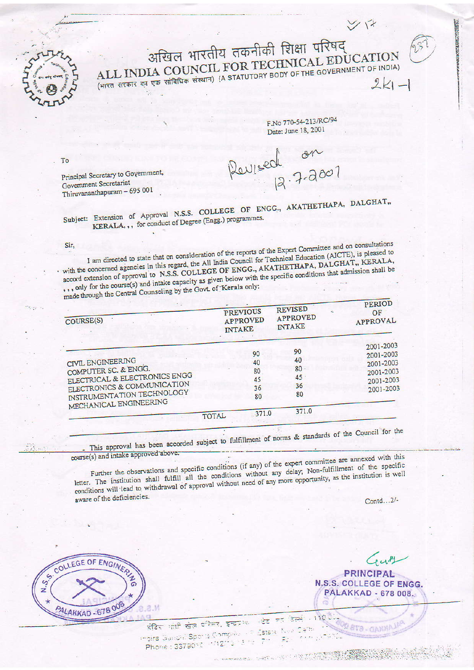अखिल भारतीय तकनीकी शिक्षा परिषद् ALL INDIA COUNCIL FOR TECHNICAL EDUCATION (भारत सरकार का एक सांविधिक संस्थान) (A STATUTORY BODY OF THE GOVERNMENT OF INDIA)  $2k1 -$ 

F.No 770-54-213/RC/94 Date: June 18, 2001

ソド

**PLEASE STATE** 

Revised 12.7-200

Principal Secretary to Government, Government Secretariat Thiruvananthapuram - 695 001

Subject: Extension of Approval N.S.S. COLLEGE OF ENGG., AKATHETHAPA, DALGHAT,, KERALA, ,, for conduct of Degree (Engg.) programmes.

Sir,

To

I am directed to state that on consideration of the reports of the Expert Committee and on consultations with the concerned agencies in this regard, the All India Council for Technical Education (AICTE), is pleased to accord extension of approval to N.S.S. COLLEGE OF ENGG., AKATHETHAPA, DALGHAT,, KERALA, where the course of the course of the capacity as given below with the specific conditions that admission shall be made through the Central Counseling by the Govt. of Kerala only:

| $\frac{1}{2}$<br>$\mathbb{R}^2$<br>COURSE(S)                                                                                                                      |       | <b>PREVIOUS</b><br><b>APPROVED</b><br><b>INTAKE</b> | <b>REVISED</b><br><b>APPROVED</b><br><b>INTAKE</b> | PERIOD<br>OF<br>APPROVAL                                                   |
|-------------------------------------------------------------------------------------------------------------------------------------------------------------------|-------|-----------------------------------------------------|----------------------------------------------------|----------------------------------------------------------------------------|
| CIVIL ENGINEERING<br>COMPUTER SC. & ENGG.<br>ELECTRICAL & ELECTRONICS ENGG<br>ELECTRONICS & COMMUNICATION<br>INSTRUMENTATION TECHNOLOGY<br>MECHANICAL ENGINEERING |       | 90<br>40<br>80<br>45<br>36<br>80                    | 90<br>40<br>80<br>45.<br>36<br>80<br>371.0         | 2001-2003<br>2001-2003<br>2001-2003<br>2001-2003<br>2001-2003<br>2001-2003 |
|                                                                                                                                                                   | TOTAL | .371.0                                              |                                                    |                                                                            |

This approval has been accorded subject to fulfillment of norms & standards of the Council for the

course(s) and intake approved above.

Further the observations and specific conditions (if any) of the expert committee are annexed with this letter. The institution shall fulfill all the conditions without any delay, Non-fulfillment of the specific conditions will lead to withdrawal of approval without need of any more opportunity, as the institution is well aware of the deficiencies.

Contd...2/-

Gutt

**PRINCIPAL** N.S.S. COLLEGE OF ENGG. PALAKKAD - 678 008.

**GETS** CANHA

 $130<sup>o</sup>$ 

1987年1月1日 月节 7月1日



 $\overline{\mathbb{R}}$  $\frac{1}{\sqrt{2}}$ ಾ इंडिर कांधी खेल वरिमर, इन्ट्र आ Estate New moira Gundhi Sports Compées sif Phone : 3379010 - 1121-3 - 5 - 2 Þ.